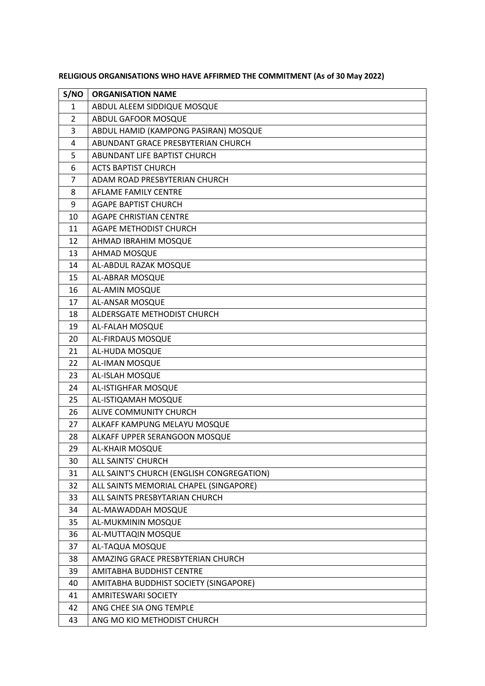| S/NO           | <b>ORGANISATION NAME</b>                  |
|----------------|-------------------------------------------|
| $\mathbf{1}$   | ABDUL ALEEM SIDDIQUE MOSQUE               |
| $\overline{2}$ | ABDUL GAFOOR MOSQUE                       |
| 3              | ABDUL HAMID (KAMPONG PASIRAN) MOSQUE      |
| 4              | ABUNDANT GRACE PRESBYTERIAN CHURCH        |
| 5              | ABUNDANT LIFE BAPTIST CHURCH              |
| 6              | <b>ACTS BAPTIST CHURCH</b>                |
| $\overline{7}$ | ADAM ROAD PRESBYTERIAN CHURCH             |
| 8              | AFLAME FAMILY CENTRE                      |
| 9              | <b>AGAPE BAPTIST CHURCH</b>               |
| 10             | <b>AGAPE CHRISTIAN CENTRE</b>             |
| 11             | AGAPE METHODIST CHURCH                    |
| 12             | AHMAD IBRAHIM MOSQUE                      |
| 13             | AHMAD MOSQUE                              |
| 14             | AL-ABDUL RAZAK MOSQUE                     |
| 15             | AL-ABRAR MOSQUE                           |
| 16             | AL-AMIN MOSQUE                            |
| 17             | AL-ANSAR MOSQUE                           |
| 18             | ALDERSGATE METHODIST CHURCH               |
| 19             | AL-FALAH MOSQUE                           |
| 20             | AL-FIRDAUS MOSQUE                         |
| 21             | AL-HUDA MOSQUE                            |
| 22             | <b>AL-IMAN MOSQUE</b>                     |
| 23             | AL-ISLAH MOSQUE                           |
| 24             | AL-ISTIGHFAR MOSQUE                       |
| 25             | AL-ISTIQAMAH MOSQUE                       |
| 26             | ALIVE COMMUNITY CHURCH                    |
| 27             | ALKAFF KAMPUNG MELAYU MOSQUE              |
| 28             | ALKAFF UPPER SERANGOON MOSQUE             |
| 29             | <b>AL-KHAIR MOSQUE</b>                    |
| 30             | ALL SAINTS' CHURCH                        |
| 31             | ALL SAINT'S CHURCH (ENGLISH CONGREGATION) |
| 32             | ALL SAINTS MEMORIAL CHAPEL (SINGAPORE)    |
| 33             | ALL SAINTS PRESBYTARIAN CHURCH            |
| 34             | AL-MAWADDAH MOSQUE                        |
| 35             | AL-MUKMININ MOSQUE                        |
| 36             | AL-MUTTAQIN MOSQUE                        |
| 37             | AL-TAQUA MOSQUE                           |
| 38             | AMAZING GRACE PRESBYTERIAN CHURCH         |
| 39             | AMITABHA BUDDHIST CENTRE                  |
| 40             | AMITABHA BUDDHIST SOCIETY (SINGAPORE)     |
| 41             | <b>AMRITESWARI SOCIETY</b>                |
| 42             | ANG CHEE SIA ONG TEMPLE                   |
| 43             | ANG MO KIO METHODIST CHURCH               |

**RELIGIOUS ORGANISATIONS WHO HAVE AFFIRMED THE COMMITMENT (As of 30 May 2022)**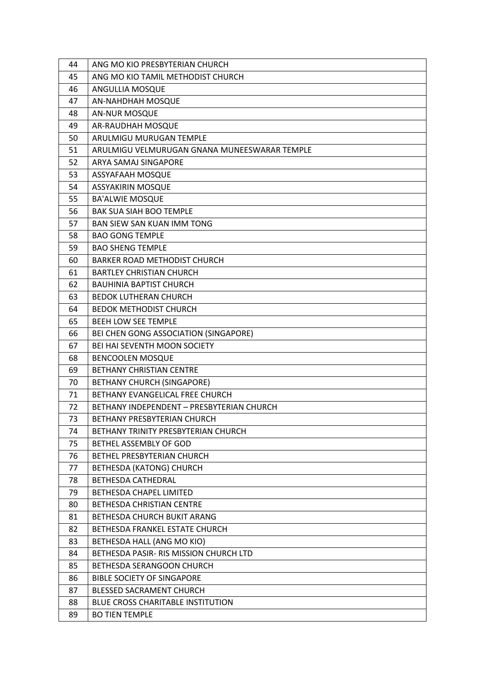| 44 | ANG MO KIO PRESBYTERIAN CHURCH               |
|----|----------------------------------------------|
| 45 | ANG MO KIO TAMIL METHODIST CHURCH            |
| 46 | ANGULLIA MOSQUE                              |
| 47 | AN-NAHDHAH MOSQUE                            |
| 48 | <b>AN-NUR MOSQUE</b>                         |
| 49 | AR-RAUDHAH MOSQUE                            |
| 50 | ARULMIGU MURUGAN TEMPLE                      |
| 51 | ARULMIGU VELMURUGAN GNANA MUNEESWARAR TEMPLE |
| 52 | ARYA SAMAJ SINGAPORE                         |
| 53 | ASSYAFAAH MOSQUE                             |
| 54 | <b>ASSYAKIRIN MOSQUE</b>                     |
| 55 | <b>BA'ALWIE MOSQUE</b>                       |
| 56 | <b>BAK SUA SIAH BOO TEMPLE</b>               |
| 57 | <b>BAN SIEW SAN KUAN IMM TONG</b>            |
| 58 | <b>BAO GONG TEMPLE</b>                       |
| 59 | <b>BAO SHENG TEMPLE</b>                      |
| 60 | <b>BARKER ROAD METHODIST CHURCH</b>          |
| 61 | <b>BARTLEY CHRISTIAN CHURCH</b>              |
| 62 | <b>BAUHINIA BAPTIST CHURCH</b>               |
| 63 | <b>BEDOK LUTHERAN CHURCH</b>                 |
| 64 | <b>BEDOK METHODIST CHURCH</b>                |
| 65 | <b>BEEH LOW SEE TEMPLE</b>                   |
| 66 | BEI CHEN GONG ASSOCIATION (SINGAPORE)        |
| 67 | BEI HAI SEVENTH MOON SOCIETY                 |
| 68 | <b>BENCOOLEN MOSQUE</b>                      |
| 69 | <b>BETHANY CHRISTIAN CENTRE</b>              |
| 70 | <b>BETHANY CHURCH (SINGAPORE)</b>            |
| 71 | BETHANY EVANGELICAL FREE CHURCH              |
| 72 | BETHANY INDEPENDENT - PRESBYTERIAN CHURCH    |
| 73 | BETHANY PRESBYTERIAN CHURCH                  |
| 74 | BETHANY TRINITY PRESBYTERIAN CHURCH          |
| 75 | <b>BETHEL ASSEMBLY OF GOD</b>                |
| 76 | <b>BETHEL PRESBYTERIAN CHURCH</b>            |
| 77 | <b>BETHESDA (KATONG) CHURCH</b>              |
| 78 | BETHESDA CATHEDRAL                           |
| 79 | <b>BETHESDA CHAPEL LIMITED</b>               |
| 80 | BETHESDA CHRISTIAN CENTRE                    |
| 81 | BETHESDA CHURCH BUKIT ARANG                  |
| 82 | BETHESDA FRANKEL ESTATE CHURCH               |
| 83 | BETHESDA HALL (ANG MO KIO)                   |
| 84 | BETHESDA PASIR- RIS MISSION CHURCH LTD       |
| 85 | BETHESDA SERANGOON CHURCH                    |
| 86 | <b>BIBLE SOCIETY OF SINGAPORE</b>            |
| 87 | BLESSED SACRAMENT CHURCH                     |
| 88 | <b>BLUE CROSS CHARITABLE INSTITUTION</b>     |
| 89 | <b>BO TIEN TEMPLE</b>                        |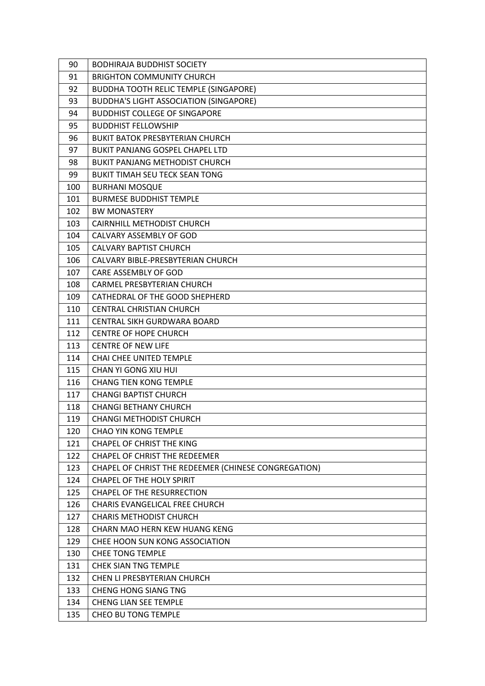| 90  | <b>BODHIRAJA BUDDHIST SOCIETY</b>                    |
|-----|------------------------------------------------------|
| 91  | <b>BRIGHTON COMMUNITY CHURCH</b>                     |
| 92  | <b>BUDDHA TOOTH RELIC TEMPLE (SINGAPORE)</b>         |
| 93  | <b>BUDDHA'S LIGHT ASSOCIATION (SINGAPORE)</b>        |
| 94  | <b>BUDDHIST COLLEGE OF SINGAPORE</b>                 |
| 95  | <b>BUDDHIST FELLOWSHIP</b>                           |
| 96  | <b>BUKIT BATOK PRESBYTERIAN CHURCH</b>               |
| 97  | <b>BUKIT PANJANG GOSPEL CHAPEL LTD</b>               |
| 98  | <b>BUKIT PANJANG METHODIST CHURCH</b>                |
| 99  | <b>BUKIT TIMAH SEU TECK SEAN TONG</b>                |
| 100 | <b>BURHANI MOSQUE</b>                                |
| 101 | <b>BURMESE BUDDHIST TEMPLE</b>                       |
| 102 | <b>BW MONASTERY</b>                                  |
| 103 | <b>CAIRNHILL METHODIST CHURCH</b>                    |
| 104 | CALVARY ASSEMBLY OF GOD                              |
| 105 | <b>CALVARY BAPTIST CHURCH</b>                        |
| 106 | CALVARY BIBLE-PRESBYTERIAN CHURCH                    |
| 107 | CARE ASSEMBLY OF GOD                                 |
| 108 | <b>CARMEL PRESBYTERIAN CHURCH</b>                    |
| 109 | CATHEDRAL OF THE GOOD SHEPHERD                       |
| 110 | <b>CENTRAL CHRISTIAN CHURCH</b>                      |
| 111 | CENTRAL SIKH GURDWARA BOARD                          |
| 112 | <b>CENTRE OF HOPE CHURCH</b>                         |
| 113 | <b>CENTRE OF NEW LIFE</b>                            |
| 114 | <b>CHAI CHEE UNITED TEMPLE</b>                       |
| 115 | CHAN YI GONG XIU HUI                                 |
| 116 | <b>CHANG TIEN KONG TEMPLE</b>                        |
| 117 | <b>CHANGI BAPTIST CHURCH</b>                         |
| 118 | <b>CHANGI BETHANY CHURCH</b>                         |
| 119 | <b>CHANGI METHODIST CHURCH</b>                       |
| 120 | <b>CHAO YIN KONG TEMPLE</b>                          |
| 121 | <b>CHAPEL OF CHRIST THE KING</b>                     |
| 122 | CHAPEL OF CHRIST THE REDEEMER                        |
| 123 | CHAPEL OF CHRIST THE REDEEMER (CHINESE CONGREGATION) |
| 124 | <b>CHAPEL OF THE HOLY SPIRIT</b>                     |
| 125 | <b>CHAPEL OF THE RESURRECTION</b>                    |
| 126 | CHARIS EVANGELICAL FREE CHURCH                       |
| 127 | <b>CHARIS METHODIST CHURCH</b>                       |
| 128 | CHARN MAO HERN KEW HUANG KENG                        |
| 129 | CHEE HOON SUN KONG ASSOCIATION                       |
| 130 | <b>CHEE TONG TEMPLE</b>                              |
| 131 | <b>CHEK SIAN TNG TEMPLE</b>                          |
| 132 | CHEN LI PRESBYTERIAN CHURCH                          |
| 133 | <b>CHENG HONG SIANG TNG</b>                          |
| 134 | <b>CHENG LIAN SEE TEMPLE</b>                         |
| 135 | CHEO BU TONG TEMPLE                                  |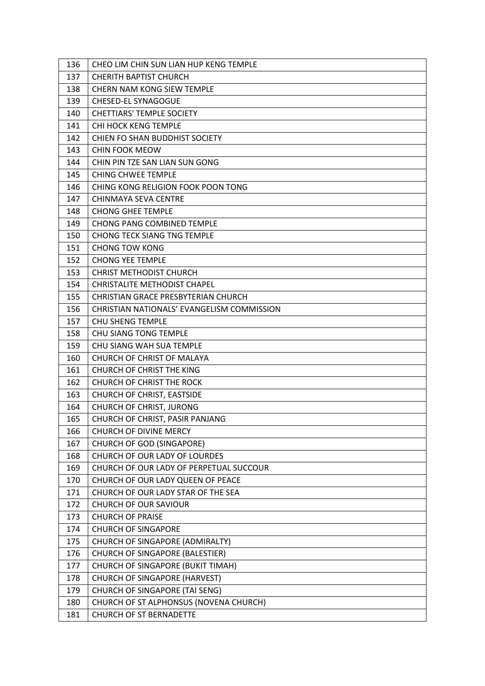| 136 | CHEO LIM CHIN SUN LIAN HUP KENG TEMPLE     |
|-----|--------------------------------------------|
| 137 | <b>CHERITH BAPTIST CHURCH</b>              |
| 138 | <b>CHERN NAM KONG SIEW TEMPLE</b>          |
| 139 | <b>CHESED-EL SYNAGOGUE</b>                 |
| 140 | <b>CHETTIARS' TEMPLE SOCIETY</b>           |
| 141 | CHI HOCK KENG TEMPLE                       |
| 142 | CHIEN FO SHAN BUDDHIST SOCIETY             |
| 143 | <b>CHIN FOOK MEOW</b>                      |
| 144 | CHIN PIN TZE SAN LIAN SUN GONG             |
| 145 | <b>CHING CHWEE TEMPLE</b>                  |
| 146 | CHING KONG RELIGION FOOK POON TONG         |
| 147 | CHINMAYA SEVA CENTRE                       |
| 148 | <b>CHONG GHEE TEMPLE</b>                   |
| 149 | <b>CHONG PANG COMBINED TEMPLE</b>          |
| 150 | <b>CHONG TECK SIANG TNG TEMPLE</b>         |
| 151 | <b>CHONG TOW KONG</b>                      |
| 152 | <b>CHONG YEE TEMPLE</b>                    |
| 153 | <b>CHRIST METHODIST CHURCH</b>             |
| 154 | <b>CHRISTALITE METHODIST CHAPEL</b>        |
| 155 | CHRISTIAN GRACE PRESBYTERIAN CHURCH        |
| 156 | CHRISTIAN NATIONALS' EVANGELISM COMMISSION |
| 157 | <b>CHU SHENG TEMPLE</b>                    |
| 158 | CHU SIANG TONG TEMPLE                      |
| 159 | CHU SIANG WAH SUA TEMPLE                   |
| 160 | CHURCH OF CHRIST OF MALAYA                 |
| 161 | CHURCH OF CHRIST THE KING                  |
| 162 | CHURCH OF CHRIST THE ROCK                  |
| 163 | CHURCH OF CHRIST, EASTSIDE                 |
| 164 | CHURCH OF CHRIST, JURONG                   |
| 165 | CHURCH OF CHRIST, PASIR PANJANG            |
| 166 | CHURCH OF DIVINE MERCY                     |
| 167 | <b>CHURCH OF GOD (SINGAPORE)</b>           |
| 168 | CHURCH OF OUR LADY OF LOURDES              |
| 169 | CHURCH OF OUR LADY OF PERPETUAL SUCCOUR    |
| 170 | CHURCH OF OUR LADY QUEEN OF PEACE          |
| 171 | CHURCH OF OUR LADY STAR OF THE SEA         |
| 172 | <b>CHURCH OF OUR SAVIOUR</b>               |
| 173 | <b>CHURCH OF PRAISE</b>                    |
| 174 | <b>CHURCH OF SINGAPORE</b>                 |
| 175 | CHURCH OF SINGAPORE (ADMIRALTY)            |
| 176 | CHURCH OF SINGAPORE (BALESTIER)            |
| 177 | CHURCH OF SINGAPORE (BUKIT TIMAH)          |
| 178 | <b>CHURCH OF SINGAPORE (HARVEST)</b>       |
| 179 | CHURCH OF SINGAPORE (TAI SENG)             |
| 180 | CHURCH OF ST ALPHONSUS (NOVENA CHURCH)     |
| 181 | <b>CHURCH OF ST BERNADETTE</b>             |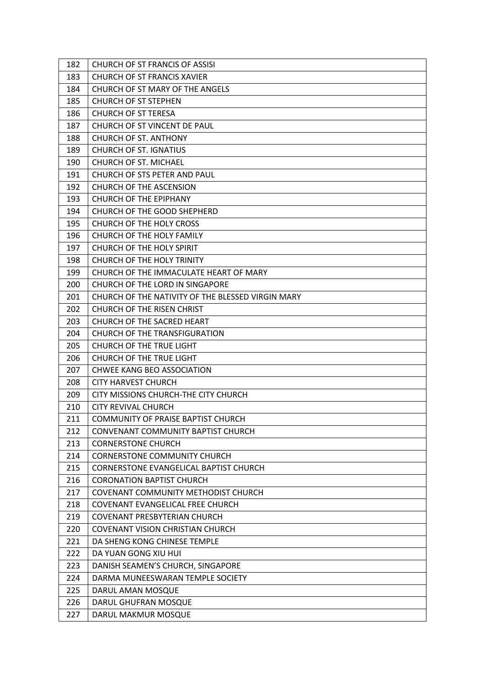| 182 | CHURCH OF ST FRANCIS OF ASSISI                    |
|-----|---------------------------------------------------|
| 183 | <b>CHURCH OF ST FRANCIS XAVIER</b>                |
| 184 | CHURCH OF ST MARY OF THE ANGELS                   |
| 185 | <b>CHURCH OF ST STEPHEN</b>                       |
| 186 | <b>CHURCH OF ST TERESA</b>                        |
| 187 | CHURCH OF ST VINCENT DE PAUL                      |
| 188 | <b>CHURCH OF ST. ANTHONY</b>                      |
| 189 | <b>CHURCH OF ST. IGNATIUS</b>                     |
| 190 | CHURCH OF ST. MICHAEL                             |
| 191 | CHURCH OF STS PETER AND PAUL                      |
| 192 | CHURCH OF THE ASCENSION                           |
| 193 | <b>CHURCH OF THE EPIPHANY</b>                     |
| 194 | CHURCH OF THE GOOD SHEPHERD                       |
| 195 | CHURCH OF THE HOLY CROSS                          |
| 196 | CHURCH OF THE HOLY FAMILY                         |
| 197 | CHURCH OF THE HOLY SPIRIT                         |
| 198 | CHURCH OF THE HOLY TRINITY                        |
| 199 | CHURCH OF THE IMMACULATE HEART OF MARY            |
| 200 | CHURCH OF THE LORD IN SINGAPORE                   |
| 201 | CHURCH OF THE NATIVITY OF THE BLESSED VIRGIN MARY |
| 202 | CHURCH OF THE RISEN CHRIST                        |
| 203 | CHURCH OF THE SACRED HEART                        |
| 204 | CHURCH OF THE TRANSFIGURATION                     |
| 205 | <b>CHURCH OF THE TRUE LIGHT</b>                   |
| 206 | CHURCH OF THE TRUE LIGHT                          |
| 207 | <b>CHWEE KANG BEO ASSOCIATION</b>                 |
| 208 | <b>CITY HARVEST CHURCH</b>                        |
| 209 | CITY MISSIONS CHURCH-THE CITY CHURCH              |
| 210 | <b>CITY REVIVAL CHURCH</b>                        |
| 211 | <b>COMMUNITY OF PRAISE BAPTIST CHURCH</b>         |
| 212 | CONVENANT COMMUNITY BAPTIST CHURCH                |
| 213 | <b>CORNERSTONE CHURCH</b>                         |
| 214 | <b>CORNERSTONE COMMUNITY CHURCH</b>               |
| 215 | <b>CORNERSTONE EVANGELICAL BAPTIST CHURCH</b>     |
| 216 | <b>CORONATION BAPTIST CHURCH</b>                  |
| 217 | COVENANT COMMUNITY METHODIST CHURCH               |
| 218 | COVENANT EVANGELICAL FREE CHURCH                  |
| 219 | <b>COVENANT PRESBYTERIAN CHURCH</b>               |
| 220 | <b>COVENANT VISION CHRISTIAN CHURCH</b>           |
| 221 | DA SHENG KONG CHINESE TEMPLE                      |
| 222 | DA YUAN GONG XIU HUI                              |
| 223 | DANISH SEAMEN'S CHURCH, SINGAPORE                 |
| 224 | DARMA MUNEESWARAN TEMPLE SOCIETY                  |
| 225 | DARUL AMAN MOSQUE                                 |
| 226 | DARUL GHUFRAN MOSQUE                              |
| 227 | DARUL MAKMUR MOSQUE                               |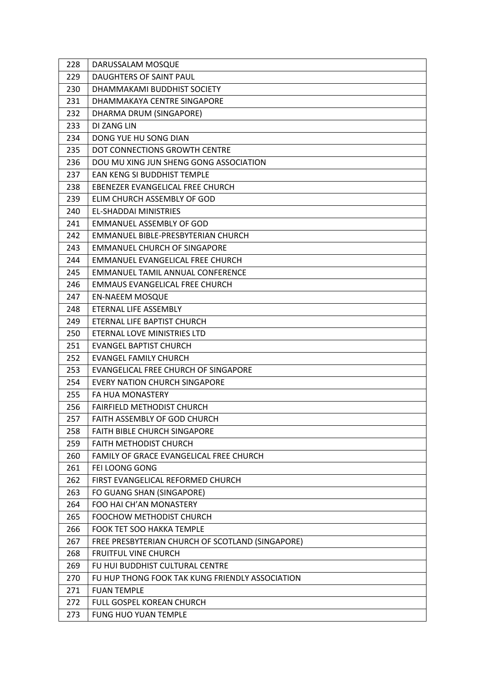| 228 | DARUSSALAM MOSQUE                                |
|-----|--------------------------------------------------|
| 229 | <b>DAUGHTERS OF SAINT PAUL</b>                   |
| 230 | DHAMMAKAMI BUDDHIST SOCIETY                      |
| 231 | DHAMMAKAYA CENTRE SINGAPORE                      |
| 232 | DHARMA DRUM (SINGAPORE)                          |
| 233 | DI ZANG LIN                                      |
| 234 | DONG YUE HU SONG DIAN                            |
| 235 | DOT CONNECTIONS GROWTH CENTRE                    |
| 236 | DOU MU XING JUN SHENG GONG ASSOCIATION           |
| 237 | EAN KENG SI BUDDHIST TEMPLE                      |
| 238 | EBENEZER EVANGELICAL FREE CHURCH                 |
| 239 | ELIM CHURCH ASSEMBLY OF GOD                      |
| 240 | <b>EL-SHADDAI MINISTRIES</b>                     |
| 241 | <b>EMMANUEL ASSEMBLY OF GOD</b>                  |
| 242 | EMMANUEL BIBLE-PRESBYTERIAN CHURCH               |
| 243 | <b>EMMANUEL CHURCH OF SINGAPORE</b>              |
| 244 | <b>EMMANUEL EVANGELICAL FREE CHURCH</b>          |
| 245 | <b>EMMANUEL TAMIL ANNUAL CONFERENCE</b>          |
| 246 | EMMAUS EVANGELICAL FREE CHURCH                   |
| 247 | <b>EN-NAEEM MOSQUE</b>                           |
| 248 | ETERNAL LIFE ASSEMBLY                            |
| 249 | ETERNAL LIFE BAPTIST CHURCH                      |
| 250 | ETERNAL LOVE MINISTRIES LTD                      |
| 251 | <b>EVANGEL BAPTIST CHURCH</b>                    |
| 252 | <b>EVANGEL FAMILY CHURCH</b>                     |
| 253 | EVANGELICAL FREE CHURCH OF SINGAPORE             |
| 254 | <b>EVERY NATION CHURCH SINGAPORE</b>             |
| 255 | FA HUA MONASTERY                                 |
| 256 | <b>FAIRFIELD METHODIST CHURCH</b>                |
| 257 | <b>FAITH ASSEMBLY OF GOD CHURCH</b>              |
| 258 | <b>FAITH BIBLE CHURCH SINGAPORE</b>              |
| 259 | <b>FAITH METHODIST CHURCH</b>                    |
| 260 | FAMILY OF GRACE EVANGELICAL FREE CHURCH          |
| 261 | FEI LOONG GONG                                   |
| 262 | FIRST EVANGELICAL REFORMED CHURCH                |
| 263 | FO GUANG SHAN (SINGAPORE)                        |
| 264 | FOO HAI CH'AN MONASTERY                          |
| 265 | <b>FOOCHOW METHODIST CHURCH</b>                  |
| 266 | <b>FOOK TET SOO HAKKA TEMPLE</b>                 |
| 267 | FREE PRESBYTERIAN CHURCH OF SCOTLAND (SINGAPORE) |
| 268 | <b>FRUITFUL VINE CHURCH</b>                      |
| 269 | FU HUI BUDDHIST CULTURAL CENTRE                  |
| 270 | FU HUP THONG FOOK TAK KUNG FRIENDLY ASSOCIATION  |
| 271 | <b>FUAN TEMPLE</b>                               |
| 272 | FULL GOSPEL KOREAN CHURCH                        |
| 273 | FUNG HUO YUAN TEMPLE                             |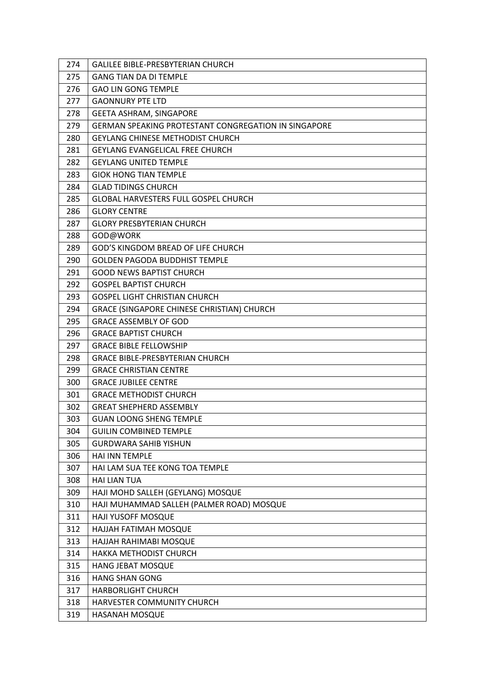| 274 | <b>GALILEE BIBLE-PRESBYTERIAN CHURCH</b>             |
|-----|------------------------------------------------------|
| 275 | <b>GANG TIAN DA DI TEMPLE</b>                        |
| 276 | <b>GAO LIN GONG TEMPLE</b>                           |
| 277 | <b>GAONNURY PTE LTD</b>                              |
| 278 | <b>GEETA ASHRAM, SINGAPORE</b>                       |
| 279 | GERMAN SPEAKING PROTESTANT CONGREGATION IN SINGAPORE |
| 280 | <b>GEYLANG CHINESE METHODIST CHURCH</b>              |
| 281 | <b>GEYLANG EVANGELICAL FREE CHURCH</b>               |
| 282 | <b>GEYLANG UNITED TEMPLE</b>                         |
| 283 | <b>GIOK HONG TIAN TEMPLE</b>                         |
| 284 | <b>GLAD TIDINGS CHURCH</b>                           |
| 285 | <b>GLOBAL HARVESTERS FULL GOSPEL CHURCH</b>          |
| 286 | <b>GLORY CENTRE</b>                                  |
| 287 | <b>GLORY PRESBYTERIAN CHURCH</b>                     |
| 288 | GOD@WORK                                             |
| 289 | GOD'S KINGDOM BREAD OF LIFE CHURCH                   |
| 290 | <b>GOLDEN PAGODA BUDDHIST TEMPLE</b>                 |
| 291 | <b>GOOD NEWS BAPTIST CHURCH</b>                      |
| 292 | <b>GOSPEL BAPTIST CHURCH</b>                         |
| 293 | <b>GOSPEL LIGHT CHRISTIAN CHURCH</b>                 |
| 294 | GRACE (SINGAPORE CHINESE CHRISTIAN) CHURCH           |
| 295 | <b>GRACE ASSEMBLY OF GOD</b>                         |
| 296 | <b>GRACE BAPTIST CHURCH</b>                          |
| 297 | <b>GRACE BIBLE FELLOWSHIP</b>                        |
| 298 | <b>GRACE BIBLE-PRESBYTERIAN CHURCH</b>               |
| 299 | <b>GRACE CHRISTIAN CENTRE</b>                        |
| 300 | <b>GRACE JUBILEE CENTRE</b>                          |
| 301 | <b>GRACE METHODIST CHURCH</b>                        |
| 302 | <b>GREAT SHEPHERD ASSEMBLY</b>                       |
| 303 | <b>GUAN LOONG SHENG TEMPLE</b>                       |
| 304 | <b>GUILIN COMBINED TEMPLE</b>                        |
| 305 | <b>GURDWARA SAHIB YISHUN</b>                         |
| 306 | HAI INN TEMPLE                                       |
| 307 | HAI LAM SUA TEE KONG TOA TEMPLE                      |
| 308 | <b>HAI LIAN TUA</b>                                  |
| 309 | HAJI MOHD SALLEH (GEYLANG) MOSQUE                    |
| 310 | HAJI MUHAMMAD SALLEH (PALMER ROAD) MOSQUE            |
| 311 | HAJI YUSOFF MOSQUE                                   |
| 312 | HAJJAH FATIMAH MOSQUE                                |
| 313 | HAJJAH RAHIMABI MOSQUE                               |
| 314 | <b>HAKKA METHODIST CHURCH</b>                        |
| 315 | HANG JEBAT MOSQUE                                    |
| 316 | <b>HANG SHAN GONG</b>                                |
| 317 | <b>HARBORLIGHT CHURCH</b>                            |
| 318 | HARVESTER COMMUNITY CHURCH                           |
| 319 | HASANAH MOSQUE                                       |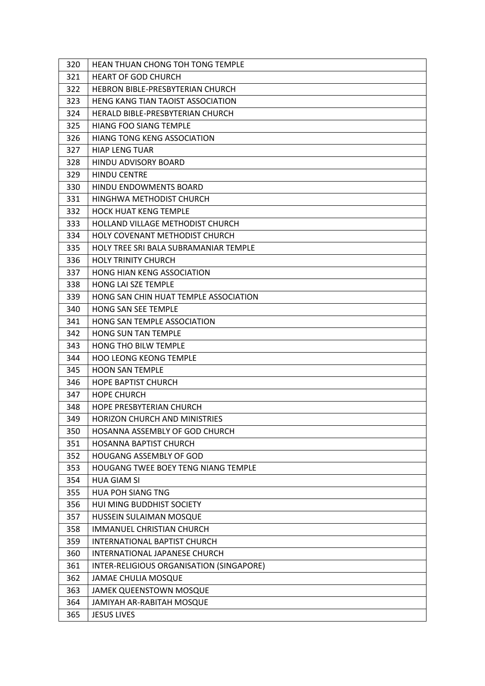| 320 | HEAN THUAN CHONG TOH TONG TEMPLE           |
|-----|--------------------------------------------|
| 321 | <b>HEART OF GOD CHURCH</b>                 |
| 322 | HEBRON BIBLE-PRESBYTERIAN CHURCH           |
| 323 | HENG KANG TIAN TAOIST ASSOCIATION          |
| 324 | HERALD BIBLE-PRESBYTERIAN CHURCH           |
| 325 | <b>HIANG FOO SIANG TEMPLE</b>              |
| 326 | <b>HIANG TONG KENG ASSOCIATION</b>         |
| 327 | <b>HIAP LENG TUAR</b>                      |
| 328 | <b>HINDU ADVISORY BOARD</b>                |
| 329 | <b>HINDU CENTRE</b>                        |
| 330 | <b>HINDU ENDOWMENTS BOARD</b>              |
| 331 | HINGHWA METHODIST CHURCH                   |
| 332 | <b>HOCK HUAT KENG TEMPLE</b>               |
| 333 | HOLLAND VILLAGE METHODIST CHURCH           |
| 334 | HOLY COVENANT METHODIST CHURCH             |
| 335 | HOLY TREE SRI BALA SUBRAMANIAR TEMPLE      |
| 336 | <b>HOLY TRINITY CHURCH</b>                 |
| 337 | <b>HONG HIAN KENG ASSOCIATION</b>          |
| 338 | <b>HONG LAI SZE TEMPLE</b>                 |
| 339 | HONG SAN CHIN HUAT TEMPLE ASSOCIATION      |
| 340 | HONG SAN SEE TEMPLE                        |
| 341 | HONG SAN TEMPLE ASSOCIATION                |
| 342 | <b>HONG SUN TAN TEMPLE</b>                 |
| 343 | HONG THO BILW TEMPLE                       |
| 344 | <b>HOO LEONG KEONG TEMPLE</b>              |
| 345 | <b>HOON SAN TEMPLE</b>                     |
| 346 | <b>HOPE BAPTIST CHURCH</b>                 |
| 347 | <b>HOPE CHURCH</b>                         |
| 348 | <b>HOPE PRESBYTERIAN CHURCH</b>            |
| 349 | <b>HORIZON CHURCH AND MINISTRIES</b>       |
| 350 | HOSANNA ASSEMBLY OF GOD CHURCH             |
| 351 | <b>HOSANNA BAPTIST CHURCH</b>              |
| 352 | <b>HOUGANG ASSEMBLY OF GOD</b>             |
| 353 | <b>HOUGANG TWEE BOEY TENG NIANG TEMPLE</b> |
| 354 | <b>HUA GIAM SI</b>                         |
| 355 | <b>HUA POH SIANG TNG</b>                   |
| 356 | HUI MING BUDDHIST SOCIETY                  |
| 357 | HUSSEIN SULAIMAN MOSQUE                    |
| 358 | <b>IMMANUEL CHRISTIAN CHURCH</b>           |
| 359 | INTERNATIONAL BAPTIST CHURCH               |
| 360 | INTERNATIONAL JAPANESE CHURCH              |
| 361 | INTER-RELIGIOUS ORGANISATION (SINGAPORE)   |
| 362 | <b>JAMAE CHULIA MOSQUE</b>                 |
| 363 | JAMEK QUEENSTOWN MOSQUE                    |
| 364 | JAMIYAH AR-RABITAH MOSQUE                  |
| 365 | <b>JESUS LIVES</b>                         |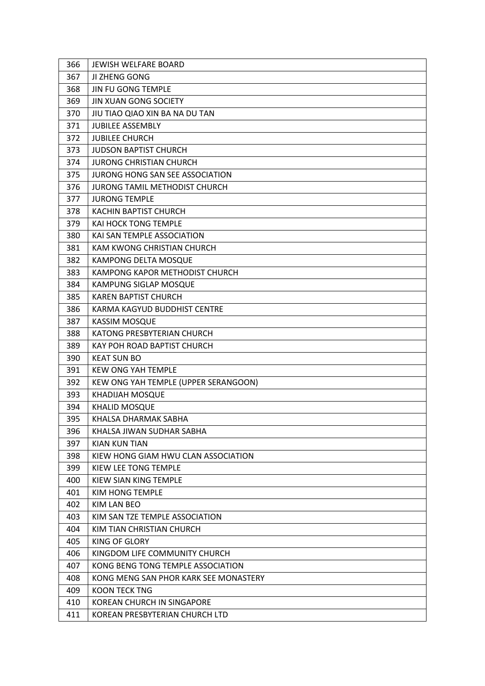| 366 | <b>JEWISH WELFARE BOARD</b>            |
|-----|----------------------------------------|
| 367 | JI ZHENG GONG                          |
| 368 | <b>JIN FU GONG TEMPLE</b>              |
| 369 | <b>JIN XUAN GONG SOCIETY</b>           |
| 370 | JIU TIAO QIAO XIN BA NA DU TAN         |
| 371 | <b>JUBILEE ASSEMBLY</b>                |
| 372 | <b>JUBILEE CHURCH</b>                  |
| 373 | <b>JUDSON BAPTIST CHURCH</b>           |
| 374 | <b>JURONG CHRISTIAN CHURCH</b>         |
| 375 | <b>JURONG HONG SAN SEE ASSOCIATION</b> |
| 376 | <b>JURONG TAMIL METHODIST CHURCH</b>   |
| 377 | <b>JURONG TEMPLE</b>                   |
| 378 | <b>KACHIN BAPTIST CHURCH</b>           |
| 379 | <b>KAI HOCK TONG TEMPLE</b>            |
| 380 | KAI SAN TEMPLE ASSOCIATION             |
| 381 | KAM KWONG CHRISTIAN CHURCH             |
| 382 | <b>KAMPONG DELTA MOSQUE</b>            |
| 383 | KAMPONG KAPOR METHODIST CHURCH         |
| 384 | KAMPUNG SIGLAP MOSQUE                  |
| 385 | <b>KAREN BAPTIST CHURCH</b>            |
| 386 | KARMA KAGYUD BUDDHIST CENTRE           |
| 387 | <b>KASSIM MOSQUE</b>                   |
| 388 | KATONG PRESBYTERIAN CHURCH             |
| 389 | KAY POH ROAD BAPTIST CHURCH            |
| 390 | <b>KEAT SUN BO</b>                     |
| 391 | <b>KEW ONG YAH TEMPLE</b>              |
| 392 | KEW ONG YAH TEMPLE (UPPER SERANGOON)   |
| 393 | KHADIJAH MOSQUE                        |
| 394 | <b>KHALID MOSQUE</b>                   |
| 395 | KHALSA DHARMAK SABHA                   |
| 396 | KHALSA JIWAN SUDHAR SABHA              |
| 397 | <b>KIAN KUN TIAN</b>                   |
| 398 | KIEW HONG GIAM HWU CLAN ASSOCIATION    |
| 399 | KIEW LEE TONG TEMPLE                   |
| 400 | KIEW SIAN KING TEMPLE                  |
| 401 | KIM HONG TEMPLE                        |
| 402 | <b>KIM LAN BEO</b>                     |
| 403 | KIM SAN TZE TEMPLE ASSOCIATION         |
| 404 | KIM TIAN CHRISTIAN CHURCH              |
| 405 | KING OF GLORY                          |
| 406 | KINGDOM LIFE COMMUNITY CHURCH          |
| 407 | KONG BENG TONG TEMPLE ASSOCIATION      |
| 408 | KONG MENG SAN PHOR KARK SEE MONASTERY  |
| 409 | <b>KOON TECK TNG</b>                   |
| 410 | KOREAN CHURCH IN SINGAPORE             |
| 411 | KOREAN PRESBYTERIAN CHURCH LTD         |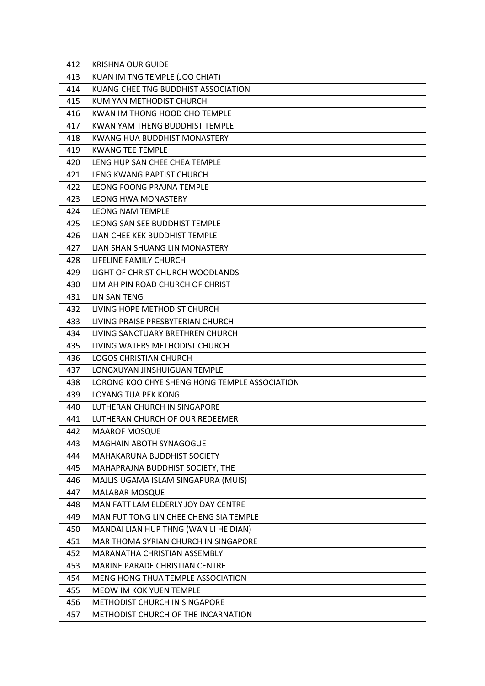| 412 | <b>KRISHNA OUR GUIDE</b>                      |
|-----|-----------------------------------------------|
| 413 | KUAN IM TNG TEMPLE (JOO CHIAT)                |
| 414 | KUANG CHEE TNG BUDDHIST ASSOCIATION           |
| 415 | KUM YAN METHODIST CHURCH                      |
| 416 | KWAN IM THONG HOOD CHO TEMPLE                 |
| 417 | KWAN YAM THENG BUDDHIST TEMPLE                |
| 418 | KWANG HUA BUDDHIST MONASTERY                  |
| 419 | <b>KWANG TEE TEMPLE</b>                       |
| 420 | LENG HUP SAN CHEE CHEA TEMPLE                 |
| 421 | LENG KWANG BAPTIST CHURCH                     |
| 422 | LEONG FOONG PRAJNA TEMPLE                     |
| 423 | <b>LEONG HWA MONASTERY</b>                    |
| 424 | <b>LEONG NAM TEMPLE</b>                       |
| 425 | LEONG SAN SEE BUDDHIST TEMPLE                 |
| 426 | LIAN CHEE KEK BUDDHIST TEMPLE                 |
| 427 | LIAN SHAN SHUANG LIN MONASTERY                |
| 428 | LIFELINE FAMILY CHURCH                        |
| 429 | LIGHT OF CHRIST CHURCH WOODLANDS              |
| 430 | LIM AH PIN ROAD CHURCH OF CHRIST              |
| 431 | <b>LIN SAN TENG</b>                           |
| 432 | LIVING HOPE METHODIST CHURCH                  |
| 433 | LIVING PRAISE PRESBYTERIAN CHURCH             |
| 434 | LIVING SANCTUARY BRETHREN CHURCH              |
| 435 | LIVING WATERS METHODIST CHURCH                |
| 436 | LOGOS CHRISTIAN CHURCH                        |
| 437 | LONGXUYAN JINSHUIGUAN TEMPLE                  |
| 438 | LORONG KOO CHYE SHENG HONG TEMPLE ASSOCIATION |
| 439 | LOYANG TUA PEK KONG                           |
| 440 | LUTHERAN CHURCH IN SINGAPORE                  |
| 441 | LUTHERAN CHURCH OF OUR REDEEMER               |
| 442 | <b>MAAROF MOSQUE</b>                          |
| 443 | MAGHAIN ABOTH SYNAGOGUE                       |
| 444 | <b>MAHAKARUNA BUDDHIST SOCIETY</b>            |
| 445 | MAHAPRAJNA BUDDHIST SOCIETY, THE              |
| 446 | MAJLIS UGAMA ISLAM SINGAPURA (MUIS)           |
| 447 | <b>MALABAR MOSQUE</b>                         |
| 448 | MAN FATT LAM ELDERLY JOY DAY CENTRE           |
| 449 | MAN FUT TONG LIN CHEE CHENG SIA TEMPLE        |
| 450 | MANDAI LIAN HUP THNG (WAN LI HE DIAN)         |
| 451 | MAR THOMA SYRIAN CHURCH IN SINGAPORE          |
| 452 | MARANATHA CHRISTIAN ASSEMBLY                  |
| 453 | MARINE PARADE CHRISTIAN CENTRE                |
| 454 | MENG HONG THUA TEMPLE ASSOCIATION             |
| 455 | MEOW IM KOK YUEN TEMPLE                       |
| 456 | METHODIST CHURCH IN SINGAPORE                 |
| 457 | METHODIST CHURCH OF THE INCARNATION           |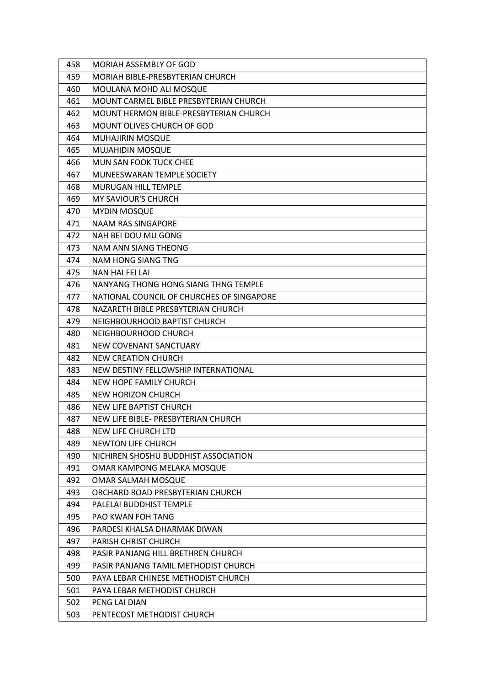| 458 | <b>MORIAH ASSEMBLY OF GOD</b>                 |
|-----|-----------------------------------------------|
| 459 | MORIAH BIBLE-PRESBYTERIAN CHURCH              |
| 460 | MOULANA MOHD ALI MOSQUE                       |
| 461 | MOUNT CARMEL BIBLE PRESBYTERIAN CHURCH        |
| 462 | <b>MOUNT HERMON BIBLE-PRESBYTERIAN CHURCH</b> |
| 463 | MOUNT OLIVES CHURCH OF GOD                    |
| 464 | MUHAJIRIN MOSQUE                              |
| 465 | <b>MUJAHIDIN MOSQUE</b>                       |
| 466 | <b>MUN SAN FOOK TUCK CHEE</b>                 |
| 467 | MUNEESWARAN TEMPLE SOCIETY                    |
| 468 | MURUGAN HILL TEMPLE                           |
| 469 | <b>MY SAVIOUR'S CHURCH</b>                    |
| 470 | <b>MYDIN MOSQUE</b>                           |
| 471 | <b>NAAM RAS SINGAPORE</b>                     |
| 472 | NAH BEI DOU MU GONG                           |
| 473 | NAM ANN SIANG THEONG                          |
| 474 | <b>NAM HONG SIANG TNG</b>                     |
| 475 | NAN HAI FEI LAI                               |
| 476 | NANYANG THONG HONG SIANG THNG TEMPLE          |
| 477 | NATIONAL COUNCIL OF CHURCHES OF SINGAPORE     |
| 478 | NAZARETH BIBLE PRESBYTERIAN CHURCH            |
| 479 | NEIGHBOURHOOD BAPTIST CHURCH                  |
| 480 | NEIGHBOURHOOD CHURCH                          |
| 481 | NEW COVENANT SANCTUARY                        |
| 482 | <b>NEW CREATION CHURCH</b>                    |
| 483 | NEW DESTINY FELLOWSHIP INTERNATIONAL          |
| 484 | <b>NEW HOPE FAMILY CHURCH</b>                 |
| 485 | <b>NEW HORIZON CHURCH</b>                     |
| 486 | <b>NEW LIFE BAPTIST CHURCH</b>                |
| 487 | NEW LIFE BIBLE- PRESBYTERIAN CHURCH           |
| 488 | NEW LIFE CHURCH LTD                           |
| 489 | <b>NEWTON LIFE CHURCH</b>                     |
| 490 | NICHIREN SHOSHU BUDDHIST ASSOCIATION          |
| 491 | OMAR KAMPONG MELAKA MOSQUE                    |
| 492 | OMAR SALMAH MOSQUE                            |
| 493 | ORCHARD ROAD PRESBYTERIAN CHURCH              |
| 494 | PALELAI BUDDHIST TEMPLE                       |
| 495 | <b>PAO KWAN FOH TANG</b>                      |
| 496 | PARDESI KHALSA DHARMAK DIWAN                  |
| 497 | PARISH CHRIST CHURCH                          |
| 498 | PASIR PANJANG HILL BRETHREN CHURCH            |
| 499 | PASIR PANJANG TAMIL METHODIST CHURCH          |
| 500 | PAYA LEBAR CHINESE METHODIST CHURCH           |
| 501 | PAYA LEBAR METHODIST CHURCH                   |
| 502 | PENG LAI DIAN                                 |
| 503 | PENTECOST METHODIST CHURCH                    |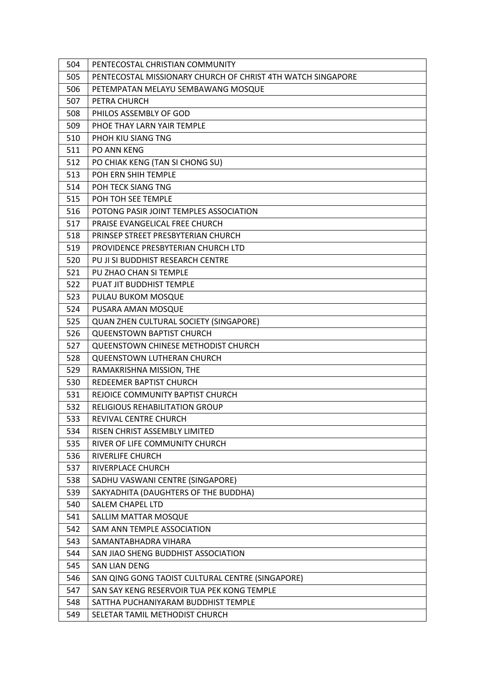| 504 | PENTECOSTAL CHRISTIAN COMMUNITY                             |
|-----|-------------------------------------------------------------|
| 505 | PENTECOSTAL MISSIONARY CHURCH OF CHRIST 4TH WATCH SINGAPORE |
| 506 | PETEMPATAN MELAYU SEMBAWANG MOSQUE                          |
| 507 | PETRA CHURCH                                                |
| 508 | PHILOS ASSEMBLY OF GOD                                      |
| 509 | PHOE THAY LARN YAIR TEMPLE                                  |
| 510 | PHOH KIU SIANG TNG                                          |
| 511 | <b>PO ANN KENG</b>                                          |
| 512 | PO CHIAK KENG (TAN SI CHONG SU)                             |
| 513 | POH ERN SHIH TEMPLE                                         |
| 514 | POH TECK SIANG TNG                                          |
| 515 | POH TOH SEE TEMPLE                                          |
| 516 | POTONG PASIR JOINT TEMPLES ASSOCIATION                      |
| 517 | PRAISE EVANGELICAL FREE CHURCH                              |
| 518 | PRINSEP STREET PRESBYTERIAN CHURCH                          |
| 519 | PROVIDENCE PRESBYTERIAN CHURCH LTD                          |
| 520 | PU JI SI BUDDHIST RESEARCH CENTRE                           |
| 521 | PU ZHAO CHAN SI TEMPLE                                      |
| 522 | PUAT JIT BUDDHIST TEMPLE                                    |
| 523 | PULAU BUKOM MOSQUE                                          |
| 524 | PUSARA AMAN MOSQUE                                          |
| 525 | QUAN ZHEN CULTURAL SOCIETY (SINGAPORE)                      |
| 526 | <b>QUEENSTOWN BAPTIST CHURCH</b>                            |
| 527 | QUEENSTOWN CHINESE METHODIST CHURCH                         |
| 528 | <b>QUEENSTOWN LUTHERAN CHURCH</b>                           |
| 529 | RAMAKRISHNA MISSION, THE                                    |
| 530 | REDEEMER BAPTIST CHURCH                                     |
| 531 | REJOICE COMMUNITY BAPTIST CHURCH                            |
| 532 | <b>RELIGIOUS REHABILITATION GROUP</b>                       |
| 533 | REVIVAL CENTRE CHURCH                                       |
| 534 | RISEN CHRIST ASSEMBLY LIMITED                               |
| 535 | RIVER OF LIFE COMMUNITY CHURCH                              |
| 536 | <b>RIVERLIFE CHURCH</b>                                     |
| 537 | RIVERPLACE CHURCH                                           |
| 538 | SADHU VASWANI CENTRE (SINGAPORE)                            |
| 539 | SAKYADHITA (DAUGHTERS OF THE BUDDHA)                        |
| 540 | <b>SALEM CHAPEL LTD</b>                                     |
| 541 | SALLIM MATTAR MOSQUE                                        |
| 542 | SAM ANN TEMPLE ASSOCIATION                                  |
| 543 | SAMANTABHADRA VIHARA                                        |
| 544 | SAN JIAO SHENG BUDDHIST ASSOCIATION                         |
| 545 | <b>SAN LIAN DENG</b>                                        |
| 546 | SAN QING GONG TAOIST CULTURAL CENTRE (SINGAPORE)            |
| 547 | SAN SAY KENG RESERVOIR TUA PEK KONG TEMPLE                  |
| 548 | SATTHA PUCHANIYARAM BUDDHIST TEMPLE                         |
| 549 | SELETAR TAMIL METHODIST CHURCH                              |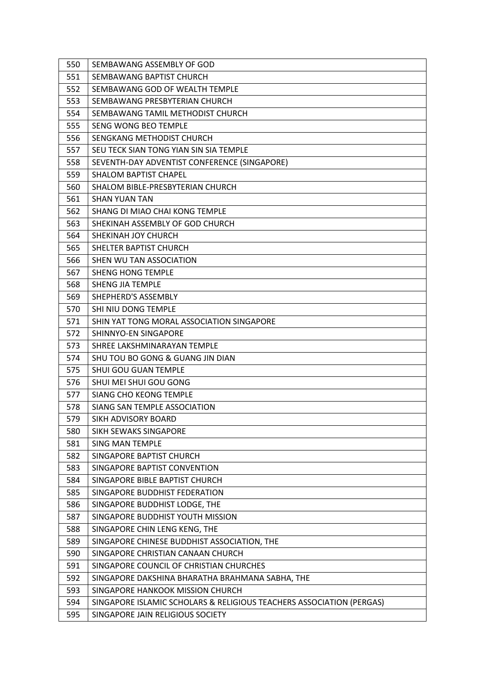| 550 | SEMBAWANG ASSEMBLY OF GOD                                            |
|-----|----------------------------------------------------------------------|
| 551 | SEMBAWANG BAPTIST CHURCH                                             |
| 552 | SEMBAWANG GOD OF WEALTH TEMPLE                                       |
| 553 | SEMBAWANG PRESBYTERIAN CHURCH                                        |
| 554 | SEMBAWANG TAMIL METHODIST CHURCH                                     |
| 555 | <b>SENG WONG BEO TEMPLE</b>                                          |
| 556 | SENGKANG METHODIST CHURCH                                            |
| 557 | SEU TECK SIAN TONG YIAN SIN SIA TEMPLE                               |
| 558 | SEVENTH-DAY ADVENTIST CONFERENCE (SINGAPORE)                         |
| 559 | <b>SHALOM BAPTIST CHAPEL</b>                                         |
| 560 | SHALOM BIBLE-PRESBYTERIAN CHURCH                                     |
| 561 | <b>SHAN YUAN TAN</b>                                                 |
| 562 | SHANG DI MIAO CHAI KONG TEMPLE                                       |
| 563 | SHEKINAH ASSEMBLY OF GOD CHURCH                                      |
| 564 | SHEKINAH JOY CHURCH                                                  |
| 565 | SHELTER BAPTIST CHURCH                                               |
| 566 | SHEN WU TAN ASSOCIATION                                              |
| 567 | <b>SHENG HONG TEMPLE</b>                                             |
| 568 | <b>SHENG JIA TEMPLE</b>                                              |
| 569 | SHEPHERD'S ASSEMBLY                                                  |
| 570 | SHI NIU DONG TEMPLE                                                  |
| 571 | SHIN YAT TONG MORAL ASSOCIATION SINGAPORE                            |
| 572 | SHINNYO-EN SINGAPORE                                                 |
| 573 | SHREE LAKSHMINARAYAN TEMPLE                                          |
| 574 | SHU TOU BO GONG & GUANG JIN DIAN                                     |
| 575 | <b>SHUI GOU GUAN TEMPLE</b>                                          |
| 576 | SHUI MEI SHUI GOU GONG                                               |
| 577 | <b>SIANG CHO KEONG TEMPLE</b>                                        |
| 578 | SIANG SAN TEMPLE ASSOCIATION                                         |
| 579 | SIKH ADVISORY BOARD                                                  |
| 580 | <b>SIKH SEWAKS SINGAPORE</b>                                         |
| 581 | <b>SING MAN TEMPLE</b>                                               |
| 582 | SINGAPORE BAPTIST CHURCH                                             |
| 583 | SINGAPORE BAPTIST CONVENTION                                         |
| 584 | SINGAPORE BIBLE BAPTIST CHURCH                                       |
| 585 | SINGAPORE BUDDHIST FEDERATION                                        |
| 586 | SINGAPORE BUDDHIST LODGE, THE                                        |
| 587 | SINGAPORE BUDDHIST YOUTH MISSION                                     |
| 588 | SINGAPORE CHIN LENG KENG, THE                                        |
| 589 | SINGAPORE CHINESE BUDDHIST ASSOCIATION, THE                          |
| 590 | SINGAPORE CHRISTIAN CANAAN CHURCH                                    |
| 591 | SINGAPORE COUNCIL OF CHRISTIAN CHURCHES                              |
| 592 | SINGAPORE DAKSHINA BHARATHA BRAHMANA SABHA, THE                      |
| 593 | SINGAPORE HANKOOK MISSION CHURCH                                     |
| 594 | SINGAPORE ISLAMIC SCHOLARS & RELIGIOUS TEACHERS ASSOCIATION (PERGAS) |
| 595 | SINGAPORE JAIN RELIGIOUS SOCIETY                                     |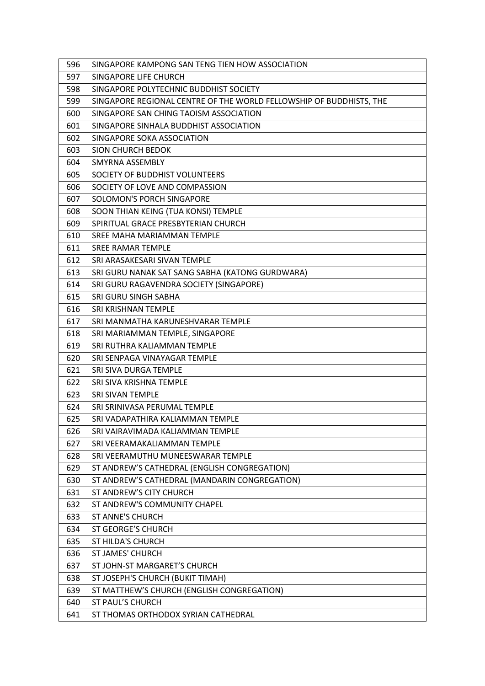| 596 | SINGAPORE KAMPONG SAN TENG TIEN HOW ASSOCIATION                     |
|-----|---------------------------------------------------------------------|
| 597 | SINGAPORE LIFE CHURCH                                               |
| 598 | SINGAPORE POLYTECHNIC BUDDHIST SOCIETY                              |
| 599 | SINGAPORE REGIONAL CENTRE OF THE WORLD FELLOWSHIP OF BUDDHISTS, THE |
| 600 | SINGAPORE SAN CHING TAOISM ASSOCIATION                              |
| 601 | SINGAPORE SINHALA BUDDHIST ASSOCIATION                              |
| 602 | SINGAPORE SOKA ASSOCIATION                                          |
| 603 | <b>SION CHURCH BEDOK</b>                                            |
| 604 | SMYRNA ASSEMBLY                                                     |
| 605 | SOCIETY OF BUDDHIST VOLUNTEERS                                      |
| 606 | SOCIETY OF LOVE AND COMPASSION                                      |
| 607 | SOLOMON'S PORCH SINGAPORE                                           |
| 608 | SOON THIAN KEING (TUA KONSI) TEMPLE                                 |
| 609 | SPIRITUAL GRACE PRESBYTERIAN CHURCH                                 |
| 610 | SREE MAHA MARIAMMAN TEMPLE                                          |
| 611 | <b>SREE RAMAR TEMPLE</b>                                            |
| 612 | SRI ARASAKESARI SIVAN TEMPLE                                        |
| 613 | SRI GURU NANAK SAT SANG SABHA (KATONG GURDWARA)                     |
| 614 | SRI GURU RAGAVENDRA SOCIETY (SINGAPORE)                             |
| 615 | SRI GURU SINGH SABHA                                                |
| 616 | SRI KRISHNAN TEMPLE                                                 |
| 617 | SRI MANMATHA KARUNESHVARAR TEMPLE                                   |
| 618 | SRI MARIAMMAN TEMPLE, SINGAPORE                                     |
| 619 | SRI RUTHRA KALIAMMAN TEMPLE                                         |
| 620 | SRI SENPAGA VINAYAGAR TEMPLE                                        |
| 621 | SRI SIVA DURGA TEMPLE                                               |
| 622 | SRI SIVA KRISHNA TEMPLE                                             |
| 623 | <b>SRI SIVAN TEMPLE</b>                                             |
| 624 | SRI SRINIVASA PERUMAL TEMPLE                                        |
| 625 | SRI VADAPATHIRA KALIAMMAN TEMPLE                                    |
| 626 | SRI VAIRAVIMADA KALIAMMAN TEMPLE                                    |
| 627 | SRI VEERAMAKALIAMMAN TEMPLE                                         |
| 628 | SRI VEERAMUTHU MUNEESWARAR TEMPLE                                   |
| 629 | ST ANDREW'S CATHEDRAL (ENGLISH CONGREGATION)                        |
| 630 | ST ANDREW'S CATHEDRAL (MANDARIN CONGREGATION)                       |
| 631 | ST ANDREW'S CITY CHURCH                                             |
| 632 | ST ANDREW'S COMMUNITY CHAPEL                                        |
| 633 | <b>ST ANNE'S CHURCH</b>                                             |
| 634 | <b>ST GEORGE'S CHURCH</b>                                           |
| 635 | <b>ST HILDA'S CHURCH</b>                                            |
| 636 | <b>ST JAMES' CHURCH</b>                                             |
| 637 | ST JOHN-ST MARGARET'S CHURCH                                        |
| 638 | ST JOSEPH'S CHURCH (BUKIT TIMAH)                                    |
| 639 | ST MATTHEW'S CHURCH (ENGLISH CONGREGATION)                          |
| 640 | ST PAUL'S CHURCH                                                    |
| 641 | ST THOMAS ORTHODOX SYRIAN CATHEDRAL                                 |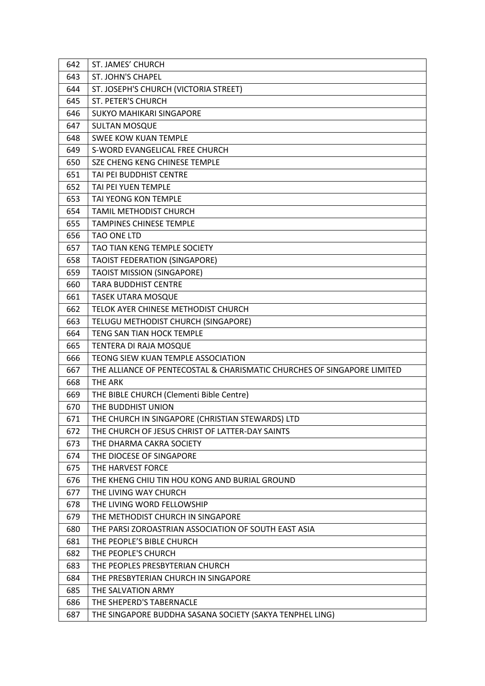| 642 | ST. JAMES' CHURCH                                                       |
|-----|-------------------------------------------------------------------------|
| 643 | <b>ST. JOHN'S CHAPEL</b>                                                |
| 644 | ST. JOSEPH'S CHURCH (VICTORIA STREET)                                   |
| 645 | <b>ST. PETER'S CHURCH</b>                                               |
| 646 | <b>SUKYO MAHIKARI SINGAPORE</b>                                         |
| 647 | <b>SULTAN MOSQUE</b>                                                    |
| 648 | <b>SWEE KOW KUAN TEMPLE</b>                                             |
| 649 | S-WORD EVANGELICAL FREE CHURCH                                          |
| 650 | SZE CHENG KENG CHINESE TEMPLE                                           |
| 651 | TAI PEI BUDDHIST CENTRE                                                 |
| 652 | TAI PEI YUEN TEMPLE                                                     |
| 653 | TAI YEONG KON TEMPLE                                                    |
| 654 | TAMIL METHODIST CHURCH                                                  |
| 655 | <b>TAMPINES CHINESE TEMPLE</b>                                          |
| 656 | TAO ONE LTD                                                             |
| 657 | TAO TIAN KENG TEMPLE SOCIETY                                            |
| 658 | <b>TAOIST FEDERATION (SINGAPORE)</b>                                    |
| 659 | <b>TAOIST MISSION (SINGAPORE)</b>                                       |
| 660 | <b>TARA BUDDHIST CENTRE</b>                                             |
| 661 | <b>TASEK UTARA MOSQUE</b>                                               |
| 662 | TELOK AYER CHINESE METHODIST CHURCH                                     |
| 663 | TELUGU METHODIST CHURCH (SINGAPORE)                                     |
| 664 | TENG SAN TIAN HOCK TEMPLE                                               |
| 665 | TENTERA DI RAJA MOSQUE                                                  |
| 666 | TEONG SIEW KUAN TEMPLE ASSOCIATION                                      |
| 667 | THE ALLIANCE OF PENTECOSTAL & CHARISMATIC CHURCHES OF SINGAPORE LIMITED |
| 668 | <b>THE ARK</b>                                                          |
| 669 | THE BIBLE CHURCH (Clementi Bible Centre)                                |
| 670 | THE BUDDHIST UNION                                                      |
| 671 | THE CHURCH IN SINGAPORE (CHRISTIAN STEWARDS) LTD                        |
| 672 | THE CHURCH OF JESUS CHRIST OF LATTER-DAY SAINTS                         |
| 673 | THE DHARMA CAKRA SOCIETY                                                |
| 674 | THE DIOCESE OF SINGAPORE                                                |
| 675 | THE HARVEST FORCE                                                       |
| 676 | THE KHENG CHIU TIN HOU KONG AND BURIAL GROUND                           |
| 677 | THE LIVING WAY CHURCH                                                   |
| 678 | THE LIVING WORD FELLOWSHIP                                              |
| 679 | THE METHODIST CHURCH IN SINGAPORE                                       |
| 680 | THE PARSI ZOROASTRIAN ASSOCIATION OF SOUTH EAST ASIA                    |
| 681 | THE PEOPLE'S BIBLE CHURCH                                               |
| 682 | THE PEOPLE'S CHURCH                                                     |
| 683 | THE PEOPLES PRESBYTERIAN CHURCH                                         |
| 684 | THE PRESBYTERIAN CHURCH IN SINGAPORE                                    |
| 685 | THE SALVATION ARMY                                                      |
| 686 | THE SHEPERD'S TABERNACLE                                                |
| 687 | THE SINGAPORE BUDDHA SASANA SOCIETY (SAKYA TENPHEL LING)                |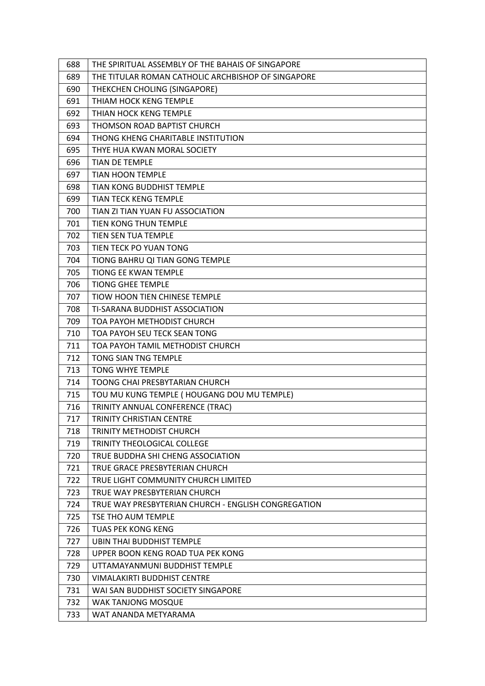| 688 | THE SPIRITUAL ASSEMBLY OF THE BAHAIS OF SINGAPORE   |
|-----|-----------------------------------------------------|
| 689 | THE TITULAR ROMAN CATHOLIC ARCHBISHOP OF SINGAPORE  |
| 690 | THEKCHEN CHOLING (SINGAPORE)                        |
| 691 | THIAM HOCK KENG TEMPLE                              |
| 692 | THIAN HOCK KENG TEMPLE                              |
| 693 | THOMSON ROAD BAPTIST CHURCH                         |
| 694 | THONG KHENG CHARITABLE INSTITUTION                  |
| 695 | THYE HUA KWAN MORAL SOCIETY                         |
| 696 | <b>TIAN DE TEMPLE</b>                               |
| 697 | TIAN HOON TEMPLE                                    |
| 698 | TIAN KONG BUDDHIST TEMPLE                           |
| 699 | <b>TIAN TECK KENG TEMPLE</b>                        |
| 700 | TIAN ZI TIAN YUAN FU ASSOCIATION                    |
| 701 | TIEN KONG THUN TEMPLE                               |
| 702 | TIEN SEN TUA TEMPLE                                 |
| 703 | TIEN TECK PO YUAN TONG                              |
| 704 | TIONG BAHRU QI TIAN GONG TEMPLE                     |
| 705 | <b>TIONG EE KWAN TEMPLE</b>                         |
| 706 | <b>TIONG GHEE TEMPLE</b>                            |
| 707 | TIOW HOON TIEN CHINESE TEMPLE                       |
| 708 | TI-SARANA BUDDHIST ASSOCIATION                      |
| 709 | TOA PAYOH METHODIST CHURCH                          |
| 710 | TOA PAYOH SEU TECK SEAN TONG                        |
| 711 | TOA PAYOH TAMIL METHODIST CHURCH                    |
| 712 | TONG SIAN TNG TEMPLE                                |
| 713 | TONG WHYE TEMPLE                                    |
| 714 | TOONG CHAI PRESBYTARIAN CHURCH                      |
| 715 | TOU MU KUNG TEMPLE ( HOUGANG DOU MU TEMPLE)         |
| 716 | TRINITY ANNUAL CONFERENCE (TRAC)                    |
| 717 | <b>TRINITY CHRISTIAN CENTRE</b>                     |
| 718 | <b>TRINITY METHODIST CHURCH</b>                     |
| 719 | TRINITY THEOLOGICAL COLLEGE                         |
| 720 | TRUE BUDDHA SHI CHENG ASSOCIATION                   |
| 721 | TRUE GRACE PRESBYTERIAN CHURCH                      |
| 722 | TRUE LIGHT COMMUNITY CHURCH LIMITED                 |
| 723 | TRUE WAY PRESBYTERIAN CHURCH                        |
| 724 | TRUE WAY PRESBYTERIAN CHURCH - ENGLISH CONGREGATION |
| 725 | TSE THO AUM TEMPLE                                  |
| 726 | <b>TUAS PEK KONG KENG</b>                           |
| 727 | <b>UBIN THAI BUDDHIST TEMPLE</b>                    |
| 728 | UPPER BOON KENG ROAD TUA PEK KONG                   |
| 729 | UTTAMAYANMUNI BUDDHIST TEMPLE                       |
| 730 | <b>VIMALAKIRTI BUDDHIST CENTRE</b>                  |
| 731 | WAI SAN BUDDHIST SOCIETY SINGAPORE                  |
| 732 | WAK TANJONG MOSQUE                                  |
| 733 | WAT ANANDA METYARAMA                                |